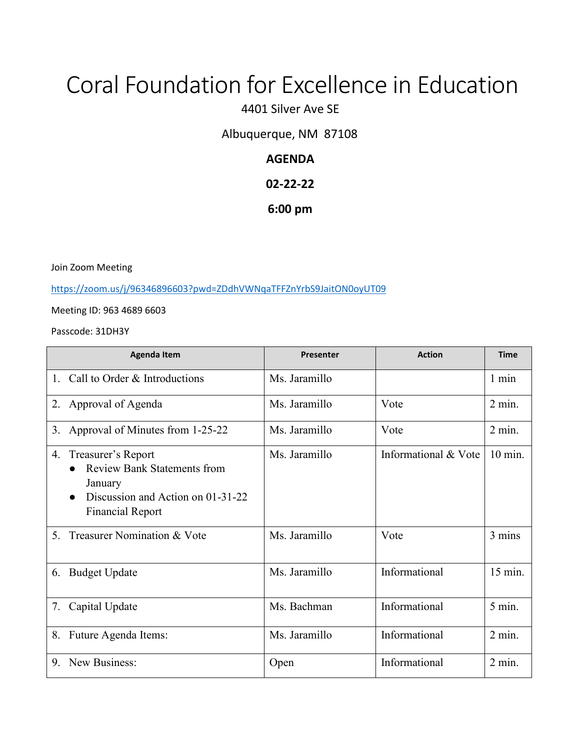# Coral Foundation for Excellence in Education

4401 Silver Ave SE

Albuquerque, NM 87108

# **AGENDA**

# **02-22-22**

## **6:00 pm**

Join Zoom Meeting

<https://zoom.us/j/96346896603?pwd=ZDdhVWNqaTFFZnYrbS9JaitON0oyUT09>

Meeting ID: 963 4689 6603

Passcode: 31DH3Y

|                | <b>Agenda Item</b>                                                                                                                  | Presenter     | <b>Action</b>        | <b>Time</b>       |
|----------------|-------------------------------------------------------------------------------------------------------------------------------------|---------------|----------------------|-------------------|
| $1_{\cdot}$    | Call to Order & Introductions                                                                                                       | Ms. Jaramillo |                      | $1 \text{ min}$   |
|                | 2. Approval of Agenda                                                                                                               | Ms. Jaramillo | Vote                 | $2$ min.          |
| 3.             | Approval of Minutes from 1-25-22                                                                                                    | Ms. Jaramillo | Vote                 | $2$ min.          |
| 4.             | Treasurer's Report<br><b>Review Bank Statements from</b><br>January<br>Discussion and Action on 01-31-22<br><b>Financial Report</b> | Ms. Jaramillo | Informational & Vote | $10 \text{ min.}$ |
| 5 <sub>1</sub> | Treasurer Nomination & Vote                                                                                                         | Ms. Jaramillo | Vote                 | 3 mins            |
| 6.             | <b>Budget Update</b>                                                                                                                | Ms. Jaramillo | Informational        | 15 min.           |
| 7.             | Capital Update                                                                                                                      | Ms. Bachman   | Informational        | $5 \text{ min.}$  |
| 8.             | Future Agenda Items:                                                                                                                | Ms. Jaramillo | Informational        | $2$ min.          |
| 9.             | New Business:                                                                                                                       | Open          | Informational        | $2$ min.          |